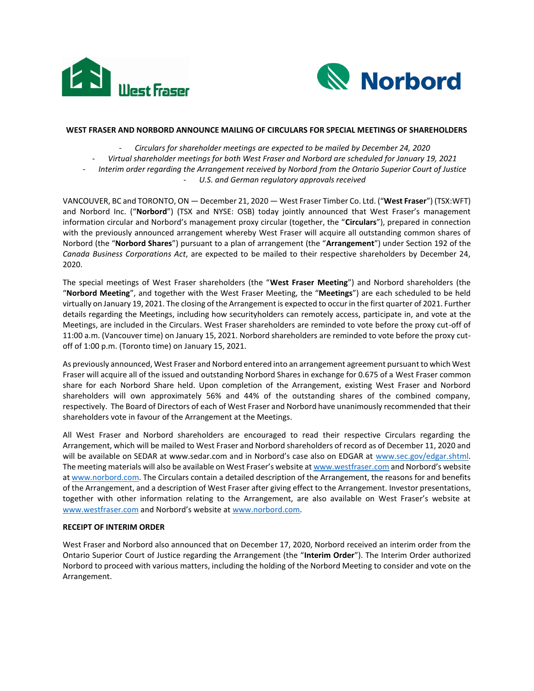



## **WEST FRASER AND NORBORD ANNOUNCE MAILING OF CIRCULARS FOR SPECIAL MEETINGS OF SHAREHOLDERS**

- *Circulars for shareholder meetings are expected to be mailed by December 24, 2020*

- *Virtual shareholder meetings for both West Fraser and Norbord are scheduled for January 19, 2021*
- *Interim order regarding the Arrangement received by Norbord from the Ontario Superior Court of Justice*
	- *U.S. and German regulatory approvals received*

VANCOUVER, BC and TORONTO, ON — December 21, 2020 — West Fraser Timber Co. Ltd. ("**West Fraser**") (TSX:WFT) and Norbord Inc. ("**Norbord**") (TSX and NYSE: OSB) today jointly announced that West Fraser's management information circular and Norbord's management proxy circular (together, the "**Circulars**"), prepared in connection with the previously announced arrangement whereby West Fraser will acquire all outstanding common shares of Norbord (the "**Norbord Shares**") pursuant to a plan of arrangement (the "**Arrangement**") under Section 192 of the *Canada Business Corporations Act*, are expected to be mailed to their respective shareholders by December 24, 2020.

The special meetings of West Fraser shareholders (the "**West Fraser Meeting**") and Norbord shareholders (the "**Norbord Meeting**", and together with the West Fraser Meeting, the "**Meetings**") are each scheduled to be held virtually on January 19, 2021. The closing of the Arrangement is expected to occur in the first quarter of 2021. Further details regarding the Meetings, including how securityholders can remotely access, participate in, and vote at the Meetings, are included in the Circulars. West Fraser shareholders are reminded to vote before the proxy cut-off of 11:00 a.m. (Vancouver time) on January 15, 2021. Norbord shareholders are reminded to vote before the proxy cutoff of 1:00 p.m. (Toronto time) on January 15, 2021.

As previously announced, West Fraser and Norbord entered into an arrangement agreement pursuant to which West Fraser will acquire all of the issued and outstanding Norbord Shares in exchange for 0.675 of a West Fraser common share for each Norbord Share held. Upon completion of the Arrangement, existing West Fraser and Norbord shareholders will own approximately 56% and 44% of the outstanding shares of the combined company, respectively. The Board of Directors of each of West Fraser and Norbord have unanimously recommended that their shareholders vote in favour of the Arrangement at the Meetings.

All West Fraser and Norbord shareholders are encouraged to read their respective Circulars regarding the Arrangement, which will be mailed to West Fraser and Norbord shareholders of record as of December 11, 2020 and will be available on SEDAR at www.sedar.com and in Norbord's case also on EDGAR at [www.sec.gov/edgar.shtml.](http://www.sec.gov/edgar.shtml) The meeting materials will also be available on West Fraser's website at [www.westfraser.com](http://www.westfraser.com/) and Norbord's website a[t www.norbord.com.](http://www.norbord.com/) The Circulars contain a detailed description of the Arrangement, the reasons for and benefits of the Arrangement, and a description of West Fraser after giving effect to the Arrangement. Investor presentations, together with other information relating to the Arrangement, are also available on West Fraser's website at [www.westfraser.com](http://www.westfraser.com/) and Norbord's website at [www.norbord.com.](http://www.norbord.com/)

## **RECEIPT OF INTERIM ORDER**

West Fraser and Norbord also announced that on December 17, 2020, Norbord received an interim order from the Ontario Superior Court of Justice regarding the Arrangement (the "**Interim Order**"). The Interim Order authorized Norbord to proceed with various matters, including the holding of the Norbord Meeting to consider and vote on the Arrangement.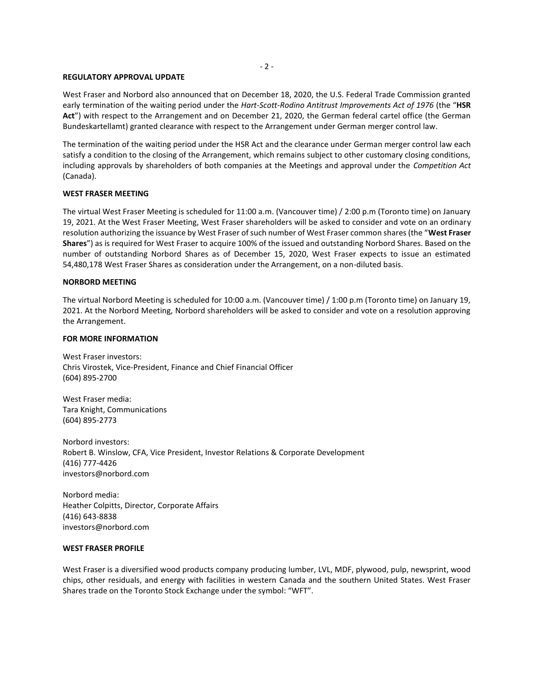#### - 2 -

#### **REGULATORY APPROVAL UPDATE**

West Fraser and Norbord also announced that on December 18, 2020, the U.S. Federal Trade Commission granted early termination of the waiting period under the *Hart-Scott-Rodino Antitrust Improvements Act of 1976* (the "**HSR Act**") with respect to the Arrangement and on December 21, 2020, the German federal cartel office (the German Bundeskartellamt) granted clearance with respect to the Arrangement under German merger control law.

The termination of the waiting period under the HSR Act and the clearance under German merger control law each satisfy a condition to the closing of the Arrangement, which remains subject to other customary closing conditions, including approvals by shareholders of both companies at the Meetings and approval under the *Competition Act* (Canada).

### **WEST FRASER MEETING**

The virtual West Fraser Meeting is scheduled for 11:00 a.m. (Vancouver time) / 2:00 p.m (Toronto time) on January 19, 2021. At the West Fraser Meeting, West Fraser shareholders will be asked to consider and vote on an ordinary resolution authorizing the issuance by West Fraser of such number of West Fraser common shares (the "**West Fraser Shares**") as is required for West Fraser to acquire 100% of the issued and outstanding Norbord Shares. Based on the number of outstanding Norbord Shares as of December 15, 2020, West Fraser expects to issue an estimated 54,480,178 West Fraser Shares as consideration under the Arrangement, on a non-diluted basis.

#### **NORBORD MEETING**

The virtual Norbord Meeting is scheduled for 10:00 a.m. (Vancouver time) / 1:00 p.m (Toronto time) on January 19, 2021. At the Norbord Meeting, Norbord shareholders will be asked to consider and vote on a resolution approving the Arrangement.

#### **FOR MORE INFORMATION**

West Fraser investors: Chris Virostek, Vice-President, Finance and Chief Financial Officer (604) 895-2700

West Fraser media: Tara Knight, Communications (604) 895-2773

Norbord investors: Robert B. Winslow, CFA, Vice President, Investor Relations & Corporate Development (416) 777-4426 investors@norbord.com

Norbord media: Heather Colpitts, Director, Corporate Affairs (416) 643-8838 investors@norbord.com

#### **WEST FRASER PROFILE**

West Fraser is a diversified wood products company producing lumber, LVL, MDF, plywood, pulp, newsprint, wood chips, other residuals, and energy with facilities in western Canada and the southern United States. West Fraser Shares trade on the Toronto Stock Exchange under the symbol: "WFT".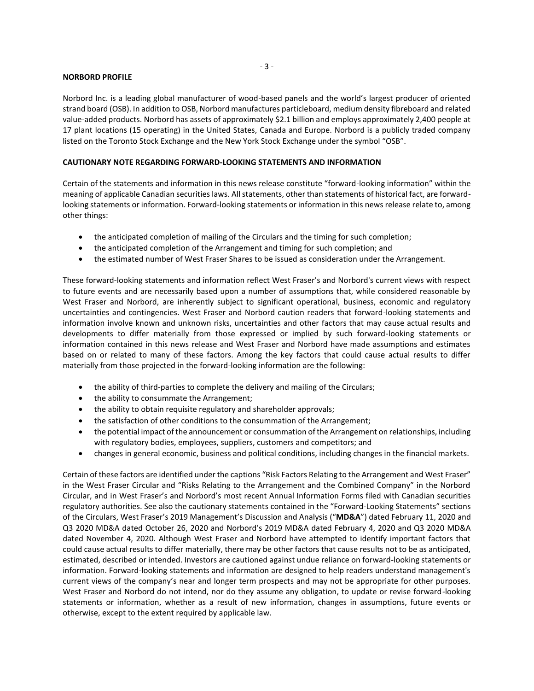# **NORBORD PROFILE**

Norbord Inc. is a leading global manufacturer of wood-based panels and the world's largest producer of oriented strand board (OSB). In addition to OSB, Norbord manufactures particleboard, medium density fibreboard and related value-added products. Norbord has assets of approximately \$2.1 billion and employs approximately 2,400 people at 17 plant locations (15 operating) in the United States, Canada and Europe. Norbord is a publicly traded company listed on the Toronto Stock Exchange and the New York Stock Exchange under the symbol "OSB".

# **CAUTIONARY NOTE REGARDING FORWARD-LOOKING STATEMENTS AND INFORMATION**

Certain of the statements and information in this news release constitute "forward-looking information" within the meaning of applicable Canadian securities laws. All statements, other than statements of historical fact, are forwardlooking statements or information. Forward-looking statements or information in this news release relate to, among other things:

- the anticipated completion of mailing of the Circulars and the timing for such completion;
- the anticipated completion of the Arrangement and timing for such completion; and
- the estimated number of West Fraser Shares to be issued as consideration under the Arrangement.

These forward-looking statements and information reflect West Fraser's and Norbord's current views with respect to future events and are necessarily based upon a number of assumptions that, while considered reasonable by West Fraser and Norbord, are inherently subject to significant operational, business, economic and regulatory uncertainties and contingencies. West Fraser and Norbord caution readers that forward-looking statements and information involve known and unknown risks, uncertainties and other factors that may cause actual results and developments to differ materially from those expressed or implied by such forward-looking statements or information contained in this news release and West Fraser and Norbord have made assumptions and estimates based on or related to many of these factors. Among the key factors that could cause actual results to differ materially from those projected in the forward-looking information are the following:

- the ability of third-parties to complete the delivery and mailing of the Circulars;
- the ability to consummate the Arrangement;
- the ability to obtain requisite regulatory and shareholder approvals;
- the satisfaction of other conditions to the consummation of the Arrangement;
- the potential impact of the announcement or consummation of the Arrangement on relationships, including with regulatory bodies, employees, suppliers, customers and competitors; and
- changes in general economic, business and political conditions, including changes in the financial markets.

Certain of these factors are identified under the captions "Risk Factors Relating to the Arrangement and West Fraser" in the West Fraser Circular and "Risks Relating to the Arrangement and the Combined Company" in the Norbord Circular, and in West Fraser's and Norbord's most recent Annual Information Forms filed with Canadian securities regulatory authorities. See also the cautionary statements contained in the "Forward-Looking Statements" sections of the Circulars, West Fraser's 2019 Management's Discussion and Analysis ("**MD&A**") dated February 11, 2020 and Q3 2020 MD&A dated October 26, 2020 and Norbord's 2019 MD&A dated February 4, 2020 and Q3 2020 MD&A dated November 4, 2020. Although West Fraser and Norbord have attempted to identify important factors that could cause actual results to differ materially, there may be other factors that cause results not to be as anticipated, estimated, described or intended. Investors are cautioned against undue reliance on forward-looking statements or information. Forward-looking statements and information are designed to help readers understand management's current views of the company's near and longer term prospects and may not be appropriate for other purposes. West Fraser and Norbord do not intend, nor do they assume any obligation, to update or revise forward-looking statements or information, whether as a result of new information, changes in assumptions, future events or otherwise, except to the extent required by applicable law.